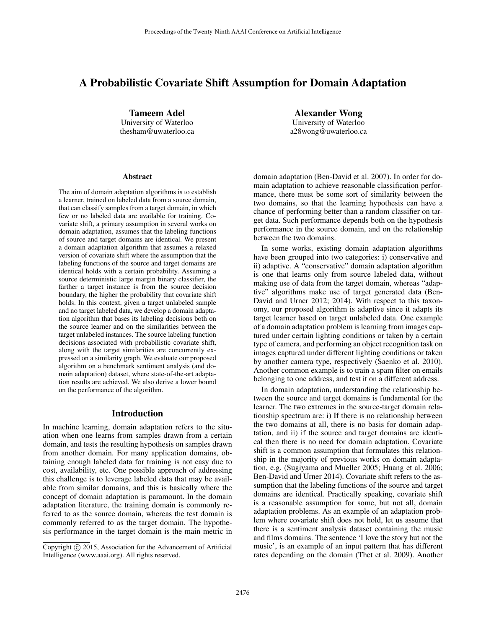# A Probabilistic Covariate Shift Assumption for Domain Adaptation

Tameem Adel University of Waterloo thesham@uwaterloo.ca

Alexander Wong University of Waterloo a28wong@uwaterloo.ca

#### Abstract

The aim of domain adaptation algorithms is to establish a learner, trained on labeled data from a source domain, that can classify samples from a target domain, in which few or no labeled data are available for training. Covariate shift, a primary assumption in several works on domain adaptation, assumes that the labeling functions of source and target domains are identical. We present a domain adaptation algorithm that assumes a relaxed version of covariate shift where the assumption that the labeling functions of the source and target domains are identical holds with a certain probability. Assuming a source deterministic large margin binary classifier, the farther a target instance is from the source decision boundary, the higher the probability that covariate shift holds. In this context, given a target unlabeled sample and no target labeled data, we develop a domain adaptation algorithm that bases its labeling decisions both on the source learner and on the similarities between the target unlabeled instances. The source labeling function decisions associated with probabilistic covariate shift, along with the target similarities are concurrently expressed on a similarity graph. We evaluate our proposed algorithm on a benchmark sentiment analysis (and domain adaptation) dataset, where state-of-the-art adaptation results are achieved. We also derive a lower bound on the performance of the algorithm.

#### Introduction

In machine learning, domain adaptation refers to the situation when one learns from samples drawn from a certain domain, and tests the resulting hypothesis on samples drawn from another domain. For many application domains, obtaining enough labeled data for training is not easy due to cost, availability, etc. One possible approach of addressing this challenge is to leverage labeled data that may be available from similar domains, and this is basically where the concept of domain adaptation is paramount. In the domain adaptation literature, the training domain is commonly referred to as the source domain, whereas the test domain is commonly referred to as the target domain. The hypothesis performance in the target domain is the main metric in domain adaptation (Ben-David et al. 2007). In order for domain adaptation to achieve reasonable classification performance, there must be some sort of similarity between the two domains, so that the learning hypothesis can have a chance of performing better than a random classifier on target data. Such performance depends both on the hypothesis performance in the source domain, and on the relationship between the two domains.

In some works, existing domain adaptation algorithms have been grouped into two categories: i) conservative and ii) adaptive. A "conservative" domain adaptation algorithm is one that learns only from source labeled data, without making use of data from the target domain, whereas "adaptive" algorithms make use of target generated data (Ben-David and Urner 2012; 2014). With respect to this taxonomy, our proposed algorithm is adaptive since it adapts its target learner based on target unlabeled data. One example of a domain adaptation problem is learning from images captured under certain lighting conditions or taken by a certain type of camera, and performing an object recognition task on images captured under different lighting conditions or taken by another camera type, respectively (Saenko et al. 2010). Another common example is to train a spam filter on emails belonging to one address, and test it on a different address.

In domain adaptation, understanding the relationship between the source and target domains is fundamental for the learner. The two extremes in the source-target domain relationship spectrum are: i) If there is no relationship between the two domains at all, there is no basis for domain adaptation, and ii) if the source and target domains are identical then there is no need for domain adaptation. Covariate shift is a common assumption that formulates this relationship in the majority of previous works on domain adaptation, e.g. (Sugiyama and Mueller 2005; Huang et al. 2006; Ben-David and Urner 2014). Covariate shift refers to the assumption that the labeling functions of the source and target domains are identical. Practically speaking, covariate shift is a reasonable assumption for some, but not all, domain adaptation problems. As an example of an adaptation problem where covariate shift does not hold, let us assume that there is a sentiment analysis dataset containing the music and films domains. The sentence 'I love the story but not the music', is an example of an input pattern that has different rates depending on the domain (Thet et al. 2009). Another

Copyright © 2015, Association for the Advancement of Artificial Intelligence (www.aaai.org). All rights reserved.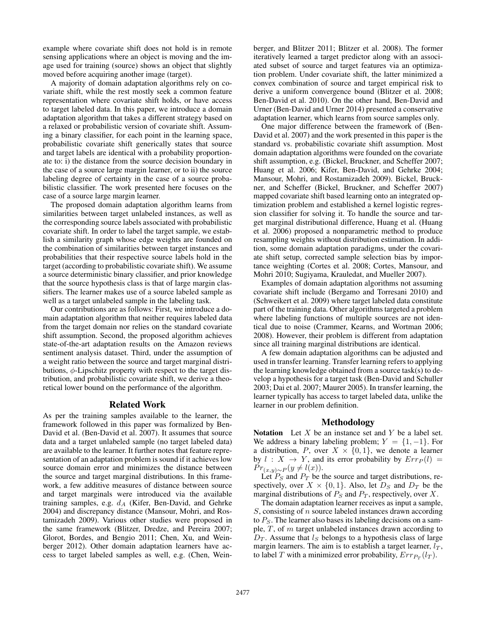example where covariate shift does not hold is in remote sensing applications where an object is moving and the image used for training (source) shows an object that slightly moved before acquiring another image (target).

A majority of domain adaptation algorithms rely on covariate shift, while the rest mostly seek a common feature representation where covariate shift holds, or have access to target labeled data. In this paper, we introduce a domain adaptation algorithm that takes a different strategy based on a relaxed or probabilistic version of covariate shift. Assuming a binary classifier, for each point in the learning space, probabilistic covariate shift generically states that source and target labels are identical with a probability proportionate to: i) the distance from the source decision boundary in the case of a source large margin learner, or to ii) the source labeling degree of certainty in the case of a source probabilistic classifier. The work presented here focuses on the case of a source large margin learner.

The proposed domain adaptation algorithm learns from similarities between target unlabeled instances, as well as the corresponding source labels associated with probabilistic covariate shift. In order to label the target sample, we establish a similarity graph whose edge weights are founded on the combination of similarities between target instances and probabilities that their respective source labels hold in the target (according to probabilistic covariate shift). We assume a source deterministic binary classifier, and prior knowledge that the source hypothesis class is that of large margin classifiers. The learner makes use of a source labeled sample as well as a target unlabeled sample in the labeling task.

Our contributions are as follows: First, we introduce a domain adaptation algorithm that neither requires labeled data from the target domain nor relies on the standard covariate shift assumption. Second, the proposed algorithm achieves state-of-the-art adaptation results on the Amazon reviews sentiment analysis dataset. Third, under the assumption of a weight ratio between the source and target marginal distributions,  $\phi$ -Lipschitz property with respect to the target distribution, and probabilistic covariate shift, we derive a theoretical lower bound on the performance of the algorithm.

#### Related Work

As per the training samples available to the learner, the framework followed in this paper was formalized by Ben-David et al. (Ben-David et al. 2007). It assumes that source data and a target unlabeled sample (no target labeled data) are available to the learner. It further notes that feature representation of an adaptation problem is sound if it achieves low source domain error and minimizes the distance between the source and target marginal distributions. In this framework, a few additive measures of distance between source and target marginals were introduced via the available training samples, e.g.  $d_A$  (Kifer, Ben-David, and Gehrke 2004) and discrepancy distance (Mansour, Mohri, and Rostamizadeh 2009). Various other studies were proposed in the same framework (Blitzer, Dredze, and Pereira 2007; Glorot, Bordes, and Bengio 2011; Chen, Xu, and Weinberger 2012). Other domain adaptation learners have access to target labeled samples as well, e.g. (Chen, Wein-

berger, and Blitzer 2011; Blitzer et al. 2008). The former iteratively learned a target predictor along with an associated subset of source and target features via an optimization problem. Under covariate shift, the latter minimized a convex combination of source and target empirical risk to derive a uniform convergence bound (Blitzer et al. 2008; Ben-David et al. 2010). On the other hand, Ben-David and Urner (Ben-David and Urner 2014) presented a conservative adaptation learner, which learns from source samples only.

One major difference between the framework of (Ben-David et al. 2007) and the work presented in this paper is the standard vs. probabilistic covariate shift assumption. Most domain adaptation algorithms were founded on the covariate shift assumption, e.g. (Bickel, Bruckner, and Scheffer 2007; Huang et al. 2006; Kifer, Ben-David, and Gehrke 2004; Mansour, Mohri, and Rostamizadeh 2009). Bickel, Bruckner, and Scheffer (Bickel, Bruckner, and Scheffer 2007) mapped covariate shift based learning onto an integrated optimization problem and established a kernel logistic regression classifier for solving it. To handle the source and target marginal distributional difference, Huang et al. (Huang et al. 2006) proposed a nonparametric method to produce resampling weights without distribution estimation. In addition, some domain adaptation paradigms, under the covariate shift setup, corrected sample selection bias by importance weighting (Cortes et al. 2008; Cortes, Mansour, and Mohri 2010; Sugiyama, Krauledat, and Mueller 2007).

Examples of domain adaptation algorithms not assuming covariate shift include (Bergamo and Torresani 2010) and (Schweikert et al. 2009) where target labeled data constitute part of the training data. Other algorithms targeted a problem where labeling functions of multiple sources are not identical due to noise (Crammer, Kearns, and Wortman 2006; 2008). However, their problem is different from adaptation since all training marginal distributions are identical.

A few domain adaptation algorithms can be adjusted and used in transfer learning. Transfer learning refers to applying the learning knowledge obtained from a source task(s) to develop a hypothesis for a target task (Ben-David and Schuller 2003; Dai et al. 2007; Maurer 2005). In transfer learning, the learner typically has access to target labeled data, unlike the learner in our problem definition.

#### Methodology

**Notation** Let  $X$  be an instance set and  $Y$  be a label set. We address a binary labeling problem;  $Y = \{1, -1\}$ . For a distribution, P, over  $X \times \{0,1\}$ , we denote a learner by  $l : X \rightarrow Y$ , and its error probability by  $Err_P(l)$  =  $Pr_{(x,y)\sim P}(y \neq l(x)).$ 

Let  $P_S$  and  $P_T$  be the source and target distributions, respectively, over  $X \times \{0, 1\}$ . Also, let  $D<sub>S</sub>$  and  $D<sub>T</sub>$  be the marginal distributions of  $P_S$  and  $P_T$ , respectively, over X.

The domain adaptation learner receives as input a sample,  $S$ , consisting of  $n$  source labeled instances drawn according to  $P<sub>S</sub>$ . The learner also bases its labeling decisions on a sample,  $T$ , of  $m$  target unlabeled instances drawn according to  $D_T$ . Assume that  $l_S$  belongs to a hypothesis class of large margin learners. The aim is to establish a target learner,  $l_T$ , to label T with a minimized error probability,  $Err_{P_T}(l_T)$ .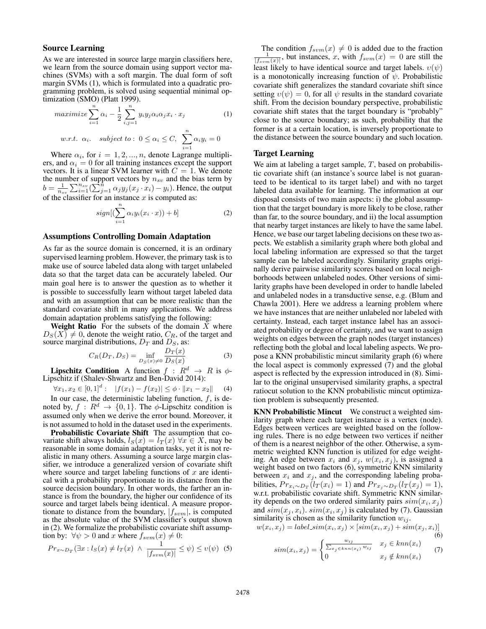#### Source Learning

As we are interested in source large margin classifiers here, we learn from the source domain using support vector machines (SVMs) with a soft margin. The dual form of soft margin SVMs (1), which is formulated into a quadratic programming problem, is solved using sequential minimal optimization (SMO) (Platt 1999).

$$
maximize \sum_{i=1}^{n} \alpha_i - \frac{1}{2} \sum_{i,j=1}^{n} y_i y_j \alpha_i \alpha_j x_i \cdot x_j \tag{1}
$$

*w.r.t.* 
$$
\alpha_i
$$
. subject to:  $0 \leq \alpha_i \leq C$ ,  $\sum_{i=1}^n \alpha_i y_i = 0$ 

Where  $\alpha_i$ , for  $i = 1, 2, ..., n$ , denote Lagrange multipliers, and  $\alpha_i = 0$  for all training instances except the support vectors. It is a linear SVM learner with  $C = 1$ . We denote the number of support vectors by  $n_{sv}$  and the bias term by  $b = \frac{1}{n_{sv}} \sum_{i=1}^{n_{sv}} (\sum_{j=1}^{n} \alpha_j y_j (x_j \cdot x_i) - y_i)$ . Hence, the output of the classifier for an instance  $x$  is computed as:

$$
sign[(\sum_{i=1}^{n} \alpha_i y_i(x_i \cdot x)) + b]
$$
 (2)

#### Assumptions Controlling Domain Adaptation

As far as the source domain is concerned, it is an ordinary supervised learning problem. However, the primary task is to make use of source labeled data along with target unlabeled data so that the target data can be accurately labeled. Our main goal here is to answer the question as to whether it is possible to successfully learn without target labeled data and with an assumption that can be more realistic than the standard covariate shift in many applications. We address domain adaptation problems satisfying the following:

Weight Ratio For the subsets of the domain  $\overline{X}$  where  $D_S(X) \neq 0$ , denote the weight ratio,  $C_R$ , of the target and source marginal distributions,  $D_T$  and  $D_S$ , as:

$$
C_R(D_T, D_S) = \inf_{D_S(x) \neq 0} \frac{D_T(x)}{D_S(x)}\tag{3}
$$

**Lipschitz Condition** A function  $f : R^d \rightarrow R$  is  $\phi$ -Lipschitz if (Shalev-Shwartz and Ben-David 2014):

 $\forall x_1, x_2 \in [0,1]^d: \quad |f(x_1) - f(x_2)| \leq \phi \cdot ||x_1 - x_2||$  (4)

In our case, the deterministic labeling function,  $f$ , is denoted by,  $f: \mathbb{R}^d \to \{0,1\}$ . The  $\phi$ -Lipschitz condition is assumed only when we derive the error bound. Moreover, it is not assumed to hold in the dataset used in the experiments.

Probabilistic Covariate Shift The assumption that covariate shift always holds,  $l_S(x) = l_T(x) \,\forall x \in X$ , may be reasonable in some domain adaptation tasks, yet it is not realistic in many others. Assuming a source large margin classifier, we introduce a generalized version of covariate shift where source and target labeling functions of  $x$  are identical with a probability proportionate to its distance from the source decision boundary. In other words, the farther an instance is from the boundary, the higher our confidence of its source and target labels being identical. A measure proportionate to distance from the boundary,  $|f_{sym}|$ , is computed as the absolute value of the SVM classifier's output shown in (2). We formalize the probabilistic covariate shift assumption by:  $\forall \psi > 0$  and x where  $f_{sym}(x) \neq 0$ :

$$
Pr_{x \sim D_T}(\exists x : l_S(x) \neq l_T(x) \land \frac{1}{|f_{sum}(x)|} \leq \psi) \leq \upsilon(\psi) \tag{5}
$$

The condition  $f_{sym}(x) \neq 0$  is added due to the fraction  $\frac{1}{|f_{sym}(x)|}$ , but instances, x, with  $f_{sym}(x) = 0$  are still the least likely to have identical source and target labels.  $v(\psi)$ is a monotonically increasing function of  $\psi$ . Probabilistic covariate shift generalizes the standard covariate shift since setting  $v(\psi) = 0$ , for all  $\psi$  results in the standard covariate shift. From the decision boundary perspective, probabilistic covariate shift states that the target boundary is "probably" close to the source boundary; as such, probability that the former is at a certain location, is inversely proportionate to the distance between the source boundary and such location.

#### Target Learning

We aim at labeling a target sample,  $T$ , based on probabilistic covariate shift (an instance's source label is not guaranteed to be identical to its target label) and with no target labeled data available for learning. The information at our disposal consists of two main aspects: i) the global assumption that the target boundary is more likely to be close, rather than far, to the source boundary, and ii) the local assumption that nearby target instances are likely to have the same label. Hence, we base our target labeling decisions on these two aspects. We establish a similarity graph where both global and local labeling information are expressed so that the target sample can be labeled accordingly. Similarity graphs originally derive pairwise similarity scores based on local neighborhoods between unlabeled nodes. Other versions of similarity graphs have been developed in order to handle labeled and unlabeled nodes in a transductive sense, e.g. (Blum and Chawla 2001). Here we address a learning problem where we have instances that are neither unlabeled nor labeled with certainty. Instead, each target instance label has an associated probability or degree of certainty, and we want to assign weights on edges between the graph nodes (target instances) reflecting both the global and local labeling aspects. We propose a KNN probabilistic mincut similarity graph (6) where the local aspect is commonly expressed (7) and the global aspect is reflected by the expression introduced in (8). Similar to the original unsupervised similarity graphs, a spectral ratiocut solution to the KNN probabilistic mincut optimization problem is subsequently presented.

KNN Probabilistic Mincut We construct a weighted similarity graph where each target instance is a vertex (node). Edges between vertices are weighted based on the following rules. There is no edge between two vertices if neither of them is a nearest neighbor of the other. Otherwise, a symmetric weighted KNN function is utilized for edge weighting. An edge between  $x_i$  and  $x_j$ ,  $w(x_i, x_j)$ , is assigned a weight based on two factors (6), symmetric KNN similarity between  $x_i$  and  $x_j$ , and the corresponding labeling probabilities,  $Pr_{x_i \sim D_T}(l_T(x_i) = 1)$  and  $Pr_{x_j \sim D_T}(l_T(x_j) = 1)$ , w.r.t. probabilistic covariate shift. Symmetric KNN similarity depends on the two ordered similarity pairs  $sim(x_i, x_j)$ and  $sim(x_j, x_i)$ .  $sim(x_i, x_j)$  is calculated by (7). Gaussian similarity is chosen as the similarity function  $w_{ij}$ .

$$
w(x_i, x_j) = label\_sim(x_i, x_j) \times [sim(x_i, x_j) + sim(x_j, x_i)]
$$
\n
$$
sim(x_i, x_j) = \begin{cases} \frac{w_{ij}}{\sum_{x_j \in knn(x_i)} w_{ij}} & x_j \in knn(x_i) \\ 0 & x_j \notin knn(x_i) \end{cases} \tag{7}
$$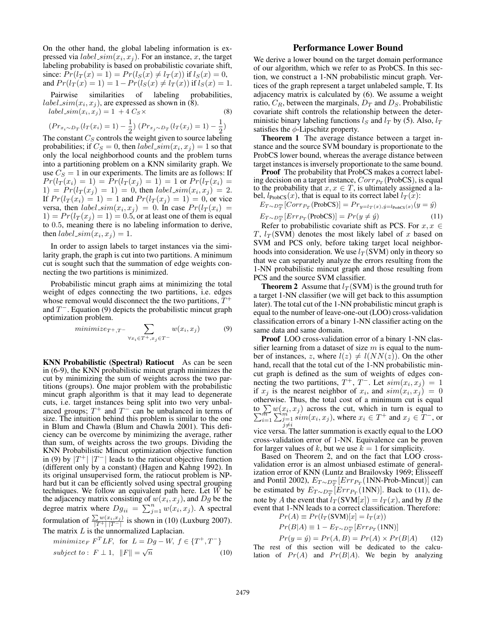On the other hand, the global labeling information is expressed via  $label\_sim(x_i, x_j)$ . For an instance, x, the target labeling probability is based on probabilistic covariate shift, since:  $Pr(l_T(x) = 1) = Pr(l_S(x) \neq l_T(x))$  if  $l_S(x) = 0$ , and  $Pr(l_T(x) = 1) = 1 - Pr(l_S(x) \neq l_T(x))$  if  $l_S(x) = 1$ .

Pairwise similarities of labeling probabilities,  $label\_sim(x_i, x_j)$ , are expressed as shown in (8).

 $label\_sim(x_i, x_j) = 1 + 4 \, C_S \times$  (8)

$$
(Pr_{x_i \sim D_T} (l_T(x_i) = 1) - \frac{1}{2}) (Pr_{x_j \sim D_T} (l_T(x_j) = 1) - \frac{1}{2})
$$

The constant  $C_S$  controls the weight given to source labeling probabilities; if  $C_S = 0$ , then  $label\_sim(x_i, x_j) = 1$  so that only the local neighborhood counts and the problem turns into a partitioning problem on a KNN similarity graph. We use  $C_S = 1$  in our experiments. The limits are as follows: If  $Pr(l_T(x_i) = 1) = Pr(l_T(x_i) = 1) = 1$  or  $Pr(l_T(x_i) = 1)$  $1) = Pr(l_T(x_j) = 1) = 0$ , then  $label\_sim(x_i, x_j) = 2$ . If  $Pr(l_T(x_i) = 1) = 1$  and  $Pr(l_T(x_j) = 1) = 0$ , or vice versa, then  $label\_sim(x_i, x_j) = 0$ . In case  $Pr(l_T(x_i) =$  $1) = Pr(l_T(x_i) = 1) = 0.5$ , or at least one of them is equal to 0.5, meaning there is no labeling information to derive, then  $label\_sim(x_i, x_j) = 1$ .

In order to assign labels to target instances via the similarity graph, the graph is cut into two partitions. A minimum cut is sought such that the summation of edge weights connecting the two partitions is minimized.

Probabilistic mincut graph aims at minimizing the total weight of edges connecting the two partitions, i.e. edges whose removal would disconnect the the two partitions,  $T^+$ and  $T^-$ . Equation (9) depicts the probabilistic mincut graph optimization problem.

$$
minimize_{T^+, T^-} \sum_{\forall x_i \in T^+, x_j \in T^-} w(x_i, x_j)
$$
 (9)

KNN Probabilistic (Spectral) Ratiocut As can be seen in (6-9), the KNN probabilistic mincut graph minimizes the cut by minimizing the sum of weights across the two partitions (groups). One major problem with the probabilistic mincut graph algorithm is that it may lead to degenerate cuts, i.e. target instances being split into two very unbalanced groups;  $T^+$  and  $T^-$  can be unbalanced in terms of size. The intuition behind this problem is similar to the one in Blum and Chawla (Blum and Chawla 2001). This deficiency can be overcome by minimizing the average, rather than sum, of weights across the two groups. Dividing the KNN Probabilistic Mincut optimization objective function in (9) by  $|T^+|$   $|T^-|$  leads to the ratiocut objective function (different only by a constant) (Hagen and Kahng 1992). In its original unsupervised form, the ratiocut problem is NPhard but it can be efficiently solved using spectral grouping techniques. We follow an equivalent path here. Let  $W$  be the adjacency matrix consisting of  $w(x_i, x_j)$ , and Dg be the degree matrix where  $Dg_{ii} = \sum_{j=1}^{n} w(x_i, x_j)$ . A spectral formulation of  $\frac{\sum w(x_i, x_j)}{|T^+| |T^-|}$  is shown in (10) (Luxburg 2007).

The matrix  $L$  is the unnormalized Laplacian.

$$
minimize_F F^T L F, \text{ for } L = Dg - W, f \in \{T^+, T^-\}
$$
  
subject to:  $F \perp 1, ||F|| = \sqrt{n}$  (10)

## Performance Lower Bound

We derive a lower bound on the target domain performance of our algorithm, which we refer to as ProbCS. In this section, we construct a 1-NN probabilistic mincut graph. Vertices of the graph represent a target unlabeled sample, T. Its adjacency matrix is calculated by (6). We assume a weight ratio,  $C_R$ , between the marginals,  $D_T$  and  $D_S$ . Probabilistic covariate shift controls the relationship between the deterministic binary labeling functions  $l_S$  and  $l_T$  by (5). Also,  $l_T$ satisfies the  $\phi$ -Lipschitz property.

Theorem 1 The average distance between a target instance and the source SVM boundary is proportionate to the ProbCS lower bound, whereas the average distance between target instances is inversely proportionate to the same bound.

Proof The probability that ProbCS makes a correct labeling decision on a target instance,  $Corr_{P_T}(\text{ProbCS})$ , is equal to the probability that  $x, x \in T$ , is ultimately assigned a label,  $l_{\text{ProbCS}}(x)$ , that is equal to its correct label  $l_T(x)$ :

$$
E_{T \sim D_T^m} [Corr_{P_T}(\text{ProbCS})] = Pr_{y=l_T(x), \hat{y}=l_{\text{ProbCS}}(x)}(y=\hat{y})
$$
  

$$
E_{T \sim D_T^m} [Err_{P_T}(\text{ProbCS})] = Pr(y \neq \hat{y})
$$
 (11)

Refer to probabilistic covariate shift as PCS. For  $x, x \in$ T,  $l_T(SVM)$  denotes the most likely label of x based on SVM and PCS only, before taking target local neighborhoods into consideration. We use  $l_T(SVM)$  only in theory so that we can separately analyze the errors resulting from the 1-NN probabilistic mincut graph and those resulting from PCS and the source SVM classifier.

**Theorem 2** Assume that  $l_T(SVM)$  is the ground truth for a target 1-NN classifier (we will get back to this assumption later). The total cut of the 1-NN probabilistic mincut graph is equal to the number of leave-one-out (LOO) cross-validation classification errors of a binary 1-NN classifier acting on the same data and same domain.

Proof LOO cross-validation error of a binary 1-NN classifier learning from a dataset of size  $m$  is equal to the number of instances, z, where  $l(z) \neq l(NN(z))$ . On the other hand, recall that the total cut of the 1-NN probabilistic mincut graph is defined as the sum of weights of edges connecting the two partitions,  $T^+$ ,  $T^-$ . Let  $sim(x_i, x_j) = 1$ if  $x_j$  is the nearest neighbor of  $x_i$ , and  $sim(x_i, x_j) = 0$ otherwise. Thus, the total cost of a minimum cut is equal to  $\sum w(x_i$ P  $\sum_{i=1}^{m} w(x_i, x_j)$  across the cut, which in turn is equal to  $\sum_{i=1}^{m} \sum_{j=1}^{m} sim(x_i, x_j)$ , where  $x_i \in T^+$  and  $x_j \in T^-$ , or vice versa. The latter summation is exactly equal to the LOO cross-validation error of 1-NN. Equivalence can be proven

for larger values of k, but we use  $k = 1$  for simplicity. Based on Theorem 2, and on the fact that LOO crossvalidation error is an almost unbiased estimate of generalization error of KNN (Luntz and Brailovsky 1969; Elisseeff and Pontil 2002),  $E_{T \sim D_T^m}[Err_{P_T}(1NN\text{-Prob-Mincut})]$  can be estimated by  $E_{T \sim D_T^m}[Err_{P_T}(1NN)]$ . Back to (11), denote by A the event that  $l_T(SVM[x]) = l_T(x)$ , and by B the event that 1-NN leads to a correct classification. Therefore:

$$
Pr(A) \equiv Pr(l_T(SVM)[x] = l_T(x))
$$

$$
Pr(B|A) \equiv 1 - E_{T \sim D_T^m}[Err_{P_T}(1NN)]
$$

 $Pr(y = \hat{y}) = Pr(A, B) = Pr(A) \times Pr(B|A)$  (12) The rest of this section will be dedicated to the calculation of  $Pr(A)$  and  $Pr(B|A)$ . We begin by analyzing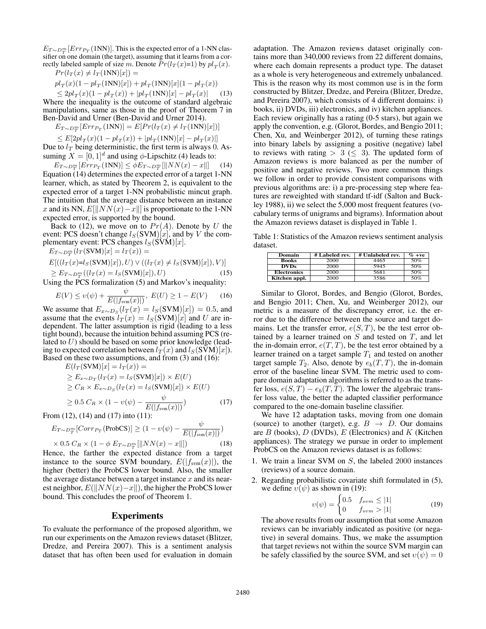$E_{T \sim D_T^m}[Err_{T}(\text{1NN})]$ . This is the expected error of a 1-NN classifier on one domain (the target), assuming that it learns from a correctly labeled sample of size m. Denote  $Pr(l_T(x)=1)$  by  $pl_T(x)$ .  $Pr(l_T(x) \neq l_T(1NN)[x]) =$ 

$$
pl_T(x)(1 - pl_T(1)N)[x]) + pl_T(1)N[x](1 - pl_T(x))
$$

 $\leq 2pl_T(x)(1 - pl_T(x)) + |pl_T(1NN)[x] - pl_T(x)|$  (13) Where the inequality is the outcome of standard algebraic manipulations, same as those in the proof of Theorem 7 in Ben-David and Urner (Ben-David and Urner 2014).

 $E_{T \sim D_T^m}[Err_{P_T}(\text{1NN})] = E[Pr(l_T(x) \neq l_T(\text{1NN})[x])]$ 

$$
\leq E[2pl_T(x)(1-pl_T(x))+|pl_T(1{\rm NN})[x]-pl_T(x)|]
$$

Due to  $l_T$  being deterministic, the first term is always 0. Assuming  $X = [0, 1]^d$  and using  $\phi$ -Lipschitz (4) leads to:

 $E_{T \sim D_T^m} [Err_{P_T}(1NN)] \leq \phi E_{T \sim D_T^m} [\|NN(x) - x\|]$  (14) Equation (14) determines the expected error of a target 1-NN learner, which, as stated by Theorem 2, is equivalent to the expected error of a target 1-NN probabilistic mincut graph. The intuition that the average distance between an instance x and its NN,  $E[\|NN(x)-x\|]$  is proportionate to the 1-NN expected error, is supported by the bound.

Back to (12), we move on to  $Pr(A)$ . Denote by U the event: PCS doesn't change  $l_S(SVM)[x]$ , and by V the complementary event: PCS changes  $l_S(SVM)[x]$ .

 $E_{T \sim D_T^m}(l_T(\text{SVM})[x] = l_T(x)) =$ 

$$
E[((l_T(x)=l_S(SVM)[x]), U) \vee ((l_T(x) \neq l_S(SVM)[x]), V)]
$$
  
\n
$$
\geq E_{T \sim D_T^m}((l_T(x) = l_S(SVM)[x]), U)
$$
 (15)

Using the PCS formalization (5) and Markov's inequality:

$$
E(V) \le v(\psi) + \frac{\psi}{E(|f_{\text{sym}}(x)|)}, \ E(U) \ge 1 - E(V) \tag{16}
$$

We assume that  $E_{x \sim D_S}(l_T(x) = l_S(SVM)[x]) = 0.5$ , and assume that the events  $l_T(x) = l_S(SVM)[x]$  and U are independent. The latter assumption is rigid (leading to a less tight bound), because the intuition behind assuming PCS (related to  $U$ ) should be based on some prior knowledge (leading to expected correlation between  $l_T(x)$  and  $l_S(SVM)[x]$ . Based on these two assumptions, and from (3) and (16):

$$
E(l_T(SVM)[x] = l_T(x)) =
$$
  
\n
$$
\ge E_{x \sim D_T}(l_T(x) = l_S(SVM)[x]) \times E(U)
$$
  
\n
$$
\ge C_R \times E_{x \sim D_S}(l_T(x) = l_S(SVM)[x]) \times E(U)
$$
  
\n
$$
\ge 0.5 C_R \times (1 - \upsilon(\psi) - \frac{\psi}{E(|f_{\text{sym}}(x)|)})
$$
\n(17)

From (12), (14) and (17) into (11):

$$
E_{T \sim D_T^m}[Corr_{P_T}(\text{ProbCS})] \ge (1 - \upsilon(\psi) - \frac{\psi}{E(|f_{\text{sym}}(x)|)})
$$

 $\times 0.5 C_R \times (1 - \phi E_{T \sim D_T^m} [\|NN(x) - x\|])$  (18) Hence, the farther the expected distance from a target instance to the source SVM boundary,  $E(|f_{sym}(x)|)$ , the higher (better) the ProbCS lower bound. Also, the smaller the average distance between a target instance  $x$  and its nearest neighbor,  $E(||NN(x)-x||)$ , the higher the ProbCS lower bound. This concludes the proof of Theorem 1.

#### Experiments

To evaluate the performance of the proposed algorithm, we run our experiments on the Amazon reviews dataset (Blitzer, Dredze, and Pereira 2007). This is a sentiment analysis dataset that has often been used for evaluation in domain

adaptation. The Amazon reviews dataset originally contains more than 340,000 reviews from 22 different domains, where each domain represents a product type. The dataset as a whole is very heterogeneous and extremely unbalanced. This is the reason why its most common use is in the form constructed by Blitzer, Dredze, and Pereira (Blitzer, Dredze, and Pereira 2007), which consists of 4 different domains: i) books, ii) DVDs, iii) electronics, and iv) kitchen appliances. Each review originally has a rating (0-5 stars), but again we apply the convention, e.g. (Glorot, Bordes, and Bengio 2011; Chen, Xu, and Weinberger 2012), of turning these ratings into binary labels by assigning a positive (negative) label to reviews with rating  $> 3 \leq 3$ . The updated form of Amazon reviews is more balanced as per the number of positive and negative reviews. Two more common things we follow in order to provide consistent comparisons with previous algorithms are: i) a pre-processing step where features are reweighted with standard tf-idf (Salton and Buckley 1988), ii) we select the 5,000 most frequent features (vocabulary terms of unigrams and bigrams). Information about the Amazon reviews dataset is displayed in Table 1.

Table 1: Statistics of the Amazon reviews sentiment analysis dataset.

| Domain             | # Labeled rev. | # Unlabeled rev. | $\%$ +ve |
|--------------------|----------------|------------------|----------|
| <b>Books</b>       | 2000           | 4465             | 50%      |
| <b>DVDs</b>        | 2000           | 5945             | 50%      |
| <b>Electronics</b> | 2000           | 5681             | 50%      |
| Kitchen appl.      | 2000           | 3586             | 50%      |

Similar to Glorot, Bordes, and Bengio (Glorot, Bordes, and Bengio 2011; Chen, Xu, and Weinberger 2012), our metric is a measure of the discrepancy error, i.e. the error due to the difference between the source and target domains. Let the transfer error,  $e(S,T)$ , be the test error obtained by a learner trained on  $S$  and tested on  $T$ , and let the in-domain error,  $e(T, T)$ , be the test error obtained by a learner trained on a target sample  $T_1$  and tested on another target sample  $T_2$ . Also, denote by  $e_b(T, T)$ , the in-domain error of the baseline linear SVM. The metric used to compare domain adaptation algorithms is referred to as the transfer loss,  $e(S,T) - e_b(T,T)$ . The lower the algebraic transfer loss value, the better the adapted classifier performance compared to the one-domain baseline classifier.

We have 12 adaptation tasks, moving from one domain (source) to another (target), e.g.  $B \rightarrow D$ . Our domains are  $B$  (books),  $D$  (DVDs),  $E$  (Electronics) and  $K$  (Kitchen appliances). The strategy we pursue in order to implement ProbCS on the Amazon reviews dataset is as follows:

- 1. We train a linear SVM on S, the labeled 2000 instances (reviews) of a source domain.
- 2. Regarding probabilistic covariate shift formulated in (5), we define  $v(\psi)$  as shown in (19):

$$
v(\psi) = \begin{cases} 0.5 & f_{sym} \le |1| \\ 0 & f_{sym} > |1| \end{cases}
$$
 (19)

The above results from our assumption that some Amazon reviews can be invariably indicated as positive (or negative) in several domains. Thus, we make the assumption that target reviews not within the source SVM margin can be safely classified by the source SVM, and set  $v(\psi) = 0$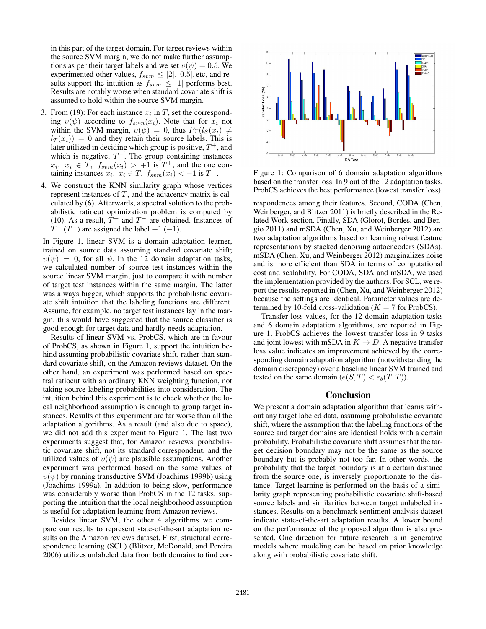in this part of the target domain. For target reviews within the source SVM margin, we do not make further assumptions as per their target labels and we set  $v(\psi) = 0.5$ . We experimented other values,  $f_{sym} \leq |2|, |0.5|$ , etc, and results support the intuition as  $f_{sym} \leq |1|$  performs best. Results are notably worse when standard covariate shift is assumed to hold within the source SVM margin.

- 3. From (19): For each instance  $x_i$  in T, set the corresponding  $v(\psi)$  according to  $f_{sym}(x_i)$ . Note that for  $x_i$  not within the SVM margin,  $v(\psi) = 0$ , thus  $Pr(l_S(x_i) \neq$  $l_T(x_i)$  = 0 and they retain their source labels. This is later utilized in deciding which group is positive,  $T^+$ , and which is negative,  $T^{-}$ . The group containing instances  $x_i, x_i \in \overline{T}, f_{sym}(x_i) > +1$  is  $T^+$ , and the one containing instances  $x_i, x_i \in T$ ,  $f_{sym}(x_i) < -1$  is  $T^-$ .
- 4. We construct the KNN similarity graph whose vertices represent instances of  $T$ , and the adjacency matrix is calculated by (6). Afterwards, a spectral solution to the probabilistic ratiocut optimization problem is computed by (10). As a result,  $\hat{T}^+$  and  $T^-$  are obtained. Instances of  $T^+$  (T<sup>-</sup>) are assigned the label +1 (-1).

In Figure 1, linear SVM is a domain adaptation learner, trained on source data assuming standard covariate shift;  $v(\psi) = 0$ , for all  $\psi$ . In the 12 domain adaptation tasks, we calculated number of source test instances within the source linear SVM margin, just to compare it with number of target test instances within the same margin. The latter was always bigger, which supports the probabilistic covariate shift intuition that the labeling functions are different. Assume, for example, no target test instances lay in the margin, this would have suggested that the source classifier is good enough for target data and hardly needs adaptation.

Results of linear SVM vs. ProbCS, which are in favour of ProbCS, as shown in Figure 1, support the intuition behind assuming probabilistic covariate shift, rather than standard covariate shift, on the Amazon reviews dataset. On the other hand, an experiment was performed based on spectral ratiocut with an ordinary KNN weighting function, not taking source labeling probabilities into consideration. The intuition behind this experiment is to check whether the local neighborhood assumption is enough to group target instances. Results of this experiment are far worse than all the adaptation algorithms. As a result (and also due to space), we did not add this experiment to Figure 1. The last two experiments suggest that, for Amazon reviews, probabilistic covariate shift, not its standard correspondent, and the utilized values of  $v(\psi)$  are plausible assumptions. Another experiment was performed based on the same values of  $v(\psi)$  by running transductive SVM (Joachims 1999b) using (Joachims 1999a). In addition to being slow, performance was considerably worse than ProbCS in the 12 tasks, supporting the intuition that the local neighborhood assumption is useful for adaptation learning from Amazon reviews.

Besides linear SVM, the other 4 algorithms we compare our results to represent state-of-the-art adaptation results on the Amazon reviews dataset. First, structural correspondence learning (SCL) (Blitzer, McDonald, and Pereira 2006) utilizes unlabeled data from both domains to find cor-



Figure 1: Comparison of 6 domain adaptation algorithms based on the transfer loss. In 9 out of the 12 adaptation tasks, ProbCS achieves the best performance (lowest transfer loss).

respondences among their features. Second, CODA (Chen, Weinberger, and Blitzer 2011) is briefly described in the Related Work section. Finally, SDA (Glorot, Bordes, and Bengio 2011) and mSDA (Chen, Xu, and Weinberger 2012) are two adaptation algorithms based on learning robust feature representations by stacked denoising autoencoders (SDAs). mSDA (Chen, Xu, and Weinberger 2012) marginalizes noise and is more efficient than SDA in terms of computational cost and scalability. For CODA, SDA and mSDA, we used the implementation provided by the authors. For SCL, we report the results reported in (Chen, Xu, and Weinberger 2012) because the settings are identical. Parameter values are determined by 10-fold cross-validation ( $K = 7$  for ProbCS).

Transfer loss values, for the 12 domain adaptation tasks and 6 domain adaptation algorithms, are reported in Figure 1. ProbCS achieves the lowest transfer loss in 9 tasks and joint lowest with mSDA in  $K \to D$ . A negative transfer loss value indicates an improvement achieved by the corresponding domain adaptation algorithm (notwithstanding the domain discrepancy) over a baseline linear SVM trained and tested on the same domain  $(e(S,T) < e<sub>b</sub>(T,T))$ .

## **Conclusion**

We present a domain adaptation algorithm that learns without any target labeled data, assuming probabilistic covariate shift, where the assumption that the labeling functions of the source and target domains are identical holds with a certain probability. Probabilistic covariate shift assumes that the target decision boundary may not be the same as the source boundary but is probably not too far. In other words, the probability that the target boundary is at a certain distance from the source one, is inversely proportionate to the distance. Target learning is performed on the basis of a similarity graph representing probabilistic covariate shift-based source labels and similarities between target unlabeled instances. Results on a benchmark sentiment analysis dataset indicate state-of-the-art adaptation results. A lower bound on the performance of the proposed algorithm is also presented. One direction for future research is in generative models where modeling can be based on prior knowledge along with probabilistic covariate shift.